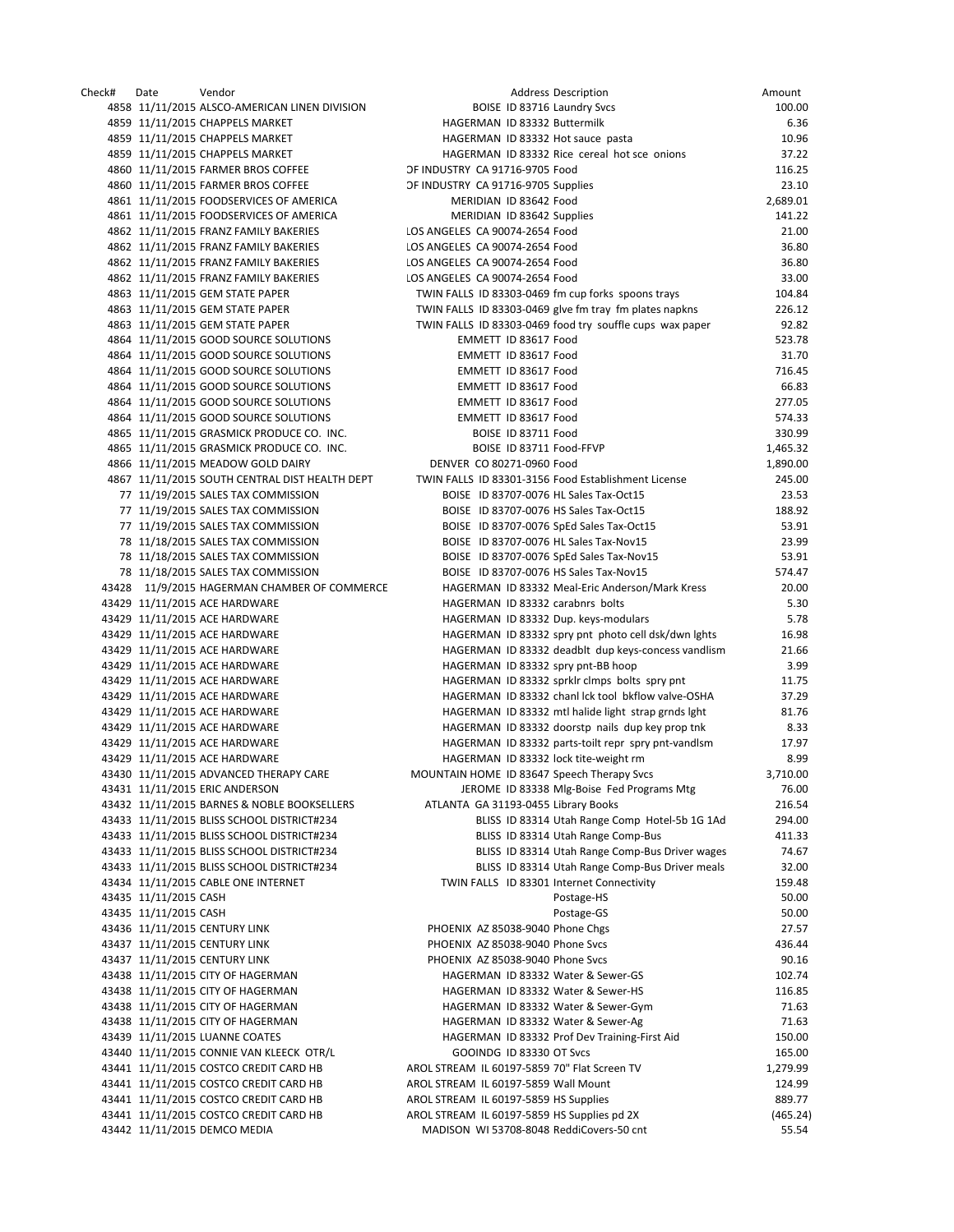| Check# | Date                  | Vendor                                         |                                                    | <b>Address Description</b>                               | Amount   |
|--------|-----------------------|------------------------------------------------|----------------------------------------------------|----------------------------------------------------------|----------|
|        |                       | 4858 11/11/2015 ALSCO-AMERICAN LINEN DIVISION  | BOISE ID 83716 Laundry Svcs                        |                                                          | 100.00   |
|        |                       | 4859 11/11/2015 CHAPPELS MARKET                | HAGERMAN ID 83332 Buttermilk                       |                                                          | 6.36     |
|        |                       | 4859 11/11/2015 CHAPPELS MARKET                | HAGERMAN ID 83332 Hot sauce pasta                  |                                                          | 10.96    |
|        |                       | 4859 11/11/2015 CHAPPELS MARKET                |                                                    | HAGERMAN ID 83332 Rice cereal hot sce onions             | 37.22    |
|        |                       | 4860 11/11/2015 FARMER BROS COFFEE             | OF INDUSTRY CA 91716-9705 Food                     |                                                          | 116.25   |
|        |                       | 4860 11/11/2015 FARMER BROS COFFEE             | OF INDUSTRY CA 91716-9705 Supplies                 |                                                          | 23.10    |
|        |                       | 4861 11/11/2015 FOODSERVICES OF AMERICA        | MERIDIAN ID 83642 Food                             |                                                          | 2,689.01 |
|        |                       | 4861 11/11/2015 FOODSERVICES OF AMERICA        | MERIDIAN ID 83642 Supplies                         |                                                          | 141.22   |
|        |                       |                                                | LOS ANGELES CA 90074-2654 Food                     |                                                          | 21.00    |
|        |                       | 4862 11/11/2015 FRANZ FAMILY BAKERIES          |                                                    |                                                          |          |
|        |                       | 4862 11/11/2015 FRANZ FAMILY BAKERIES          | LOS ANGELES CA 90074-2654 Food                     |                                                          | 36.80    |
|        |                       | 4862 11/11/2015 FRANZ FAMILY BAKERIES          | LOS ANGELES CA 90074-2654 Food                     |                                                          | 36.80    |
|        |                       | 4862 11/11/2015 FRANZ FAMILY BAKERIES          | LOS ANGELES CA 90074-2654 Food                     |                                                          | 33.00    |
|        |                       | 4863 11/11/2015 GEM STATE PAPER                | TWIN FALLS ID 83303-0469 fm cup forks spoons trays |                                                          | 104.84   |
|        |                       | 4863 11/11/2015 GEM STATE PAPER                |                                                    | TWIN FALLS ID 83303-0469 glve fm tray fm plates napkns   | 226.12   |
|        |                       | 4863 11/11/2015 GEM STATE PAPER                |                                                    | TWIN FALLS ID 83303-0469 food try souffle cups wax paper | 92.82    |
|        |                       | 4864 11/11/2015 GOOD SOURCE SOLUTIONS          | EMMETT ID 83617 Food                               |                                                          | 523.78   |
|        |                       | 4864 11/11/2015 GOOD SOURCE SOLUTIONS          | EMMETT ID 83617 Food                               |                                                          | 31.70    |
|        |                       | 4864 11/11/2015 GOOD SOURCE SOLUTIONS          | EMMETT ID 83617 Food                               |                                                          | 716.45   |
|        |                       | 4864 11/11/2015 GOOD SOURCE SOLUTIONS          | EMMETT ID 83617 Food                               |                                                          | 66.83    |
|        |                       | 4864 11/11/2015 GOOD SOURCE SOLUTIONS          | EMMETT ID 83617 Food                               |                                                          | 277.05   |
|        |                       | 4864 11/11/2015 GOOD SOURCE SOLUTIONS          | EMMETT ID 83617 Food                               |                                                          | 574.33   |
|        |                       | 4865 11/11/2015 GRASMICK PRODUCE CO. INC.      | BOISE ID 83711 Food                                |                                                          | 330.99   |
|        |                       | 4865 11/11/2015 GRASMICK PRODUCE CO. INC.      | BOISE ID 83711 Food-FFVP                           |                                                          | 1,465.32 |
|        |                       | 4866 11/11/2015 MEADOW GOLD DAIRY              | DENVER CO 80271-0960 Food                          |                                                          | 1,890.00 |
|        |                       |                                                |                                                    |                                                          |          |
|        |                       | 4867 11/11/2015 SOUTH CENTRAL DIST HEALTH DEPT |                                                    | TWIN FALLS ID 83301-3156 Food Establishment License      | 245.00   |
|        |                       | 77 11/19/2015 SALES TAX COMMISSION             | BOISE ID 83707-0076 HL Sales Tax-Oct15             |                                                          | 23.53    |
|        |                       | 77 11/19/2015 SALES TAX COMMISSION             | BOISE ID 83707-0076 HS Sales Tax-Oct15             |                                                          | 188.92   |
|        |                       | 77 11/19/2015 SALES TAX COMMISSION             | BOISE ID 83707-0076 SpEd Sales Tax-Oct15           |                                                          | 53.91    |
|        |                       | 78 11/18/2015 SALES TAX COMMISSION             | BOISE ID 83707-0076 HL Sales Tax-Nov15             |                                                          | 23.99    |
|        |                       | 78 11/18/2015 SALES TAX COMMISSION             | BOISE ID 83707-0076 SpEd Sales Tax-Nov15           |                                                          | 53.91    |
|        |                       | 78 11/18/2015 SALES TAX COMMISSION             | BOISE ID 83707-0076 HS Sales Tax-Nov15             |                                                          | 574.47   |
|        |                       | 43428 11/9/2015 HAGERMAN CHAMBER OF COMMERCE   |                                                    | HAGERMAN ID 83332 Meal-Eric Anderson/Mark Kress          | 20.00    |
|        |                       | 43429 11/11/2015 ACE HARDWARE                  | HAGERMAN ID 83332 carabnrs bolts                   |                                                          | 5.30     |
|        |                       | 43429 11/11/2015 ACE HARDWARE                  | HAGERMAN ID 83332 Dup. keys-modulars               |                                                          | 5.78     |
|        |                       | 43429 11/11/2015 ACE HARDWARE                  |                                                    | HAGERMAN ID 83332 spry pnt photo cell dsk/dwn lghts      | 16.98    |
|        |                       | 43429 11/11/2015 ACE HARDWARE                  |                                                    | HAGERMAN ID 83332 deadblt dup keys-concess vandlism      | 21.66    |
|        |                       | 43429 11/11/2015 ACE HARDWARE                  | HAGERMAN ID 83332 spry pnt-BB hoop                 |                                                          | 3.99     |
|        |                       | 43429 11/11/2015 ACE HARDWARE                  |                                                    | HAGERMAN ID 83332 sprklr clmps bolts spry pnt            | 11.75    |
|        |                       | 43429 11/11/2015 ACE HARDWARE                  |                                                    | HAGERMAN ID 83332 chanl lck tool bkflow valve-OSHA       | 37.29    |
|        |                       |                                                |                                                    |                                                          |          |
|        |                       | 43429 11/11/2015 ACE HARDWARE                  |                                                    | HAGERMAN ID 83332 mtl halide light strap grnds lght      | 81.76    |
|        |                       | 43429 11/11/2015 ACE HARDWARE                  |                                                    | HAGERMAN ID 83332 doorstp nails dup key prop tnk         | 8.33     |
|        |                       | 43429 11/11/2015 ACE HARDWARE                  |                                                    | HAGERMAN ID 83332 parts-toilt repr spry pnt-vandlsm      | 17.97    |
|        |                       | 43429 11/11/2015 ACE HARDWARE                  | HAGERMAN ID 83332 lock tite-weight rm              |                                                          | 8.99     |
|        |                       | 43430 11/11/2015 ADVANCED THERAPY CARE         | MOUNTAIN HOME ID 83647 Speech Therapy Svcs         |                                                          | 3,710.00 |
|        |                       | 43431 11/11/2015 ERIC ANDERSON                 |                                                    | JEROME ID 83338 Mlg-Boise Fed Programs Mtg               | 76.00    |
|        |                       | 43432 11/11/2015 BARNES & NOBLE BOOKSELLERS    | ATLANTA GA 31193-0455 Library Books                |                                                          | 216.54   |
|        |                       | 43433 11/11/2015 BLISS SCHOOL DISTRICT#234     |                                                    | BLISS ID 83314 Utah Range Comp Hotel-5b 1G 1Ad           | 294.00   |
|        |                       | 43433 11/11/2015 BLISS SCHOOL DISTRICT#234     |                                                    | BLISS ID 83314 Utah Range Comp-Bus                       | 411.33   |
|        |                       | 43433 11/11/2015 BLISS SCHOOL DISTRICT#234     |                                                    | BLISS ID 83314 Utah Range Comp-Bus Driver wages          | 74.67    |
|        |                       | 43433 11/11/2015 BLISS SCHOOL DISTRICT#234     |                                                    | BLISS ID 83314 Utah Range Comp-Bus Driver meals          | 32.00    |
|        |                       | 43434 11/11/2015 CABLE ONE INTERNET            | TWIN FALLS ID 83301 Internet Connectivity          |                                                          | 159.48   |
|        | 43435 11/11/2015 CASH |                                                |                                                    | Postage-HS                                               | 50.00    |
|        | 43435 11/11/2015 CASH |                                                |                                                    | Postage-GS                                               | 50.00    |
|        |                       |                                                |                                                    |                                                          |          |
|        |                       | 43436 11/11/2015 CENTURY LINK                  | PHOENIX AZ 85038-9040 Phone Chgs                   |                                                          | 27.57    |
|        |                       | 43437 11/11/2015 CENTURY LINK                  | PHOENIX AZ 85038-9040 Phone Svcs                   |                                                          | 436.44   |
|        |                       | 43437 11/11/2015 CENTURY LINK                  | PHOENIX AZ 85038-9040 Phone Svcs                   |                                                          | 90.16    |
|        |                       | 43438 11/11/2015 CITY OF HAGERMAN              | HAGERMAN ID 83332 Water & Sewer-GS                 |                                                          | 102.74   |
|        |                       | 43438 11/11/2015 CITY OF HAGERMAN              | HAGERMAN ID 83332 Water & Sewer-HS                 |                                                          | 116.85   |
|        |                       | 43438 11/11/2015 CITY OF HAGERMAN              | HAGERMAN ID 83332 Water & Sewer-Gym                |                                                          | 71.63    |
|        |                       | 43438 11/11/2015 CITY OF HAGERMAN              | HAGERMAN ID 83332 Water & Sewer-Ag                 |                                                          | 71.63    |
|        |                       | 43439 11/11/2015 LUANNE COATES                 |                                                    | HAGERMAN ID 83332 Prof Dev Training-First Aid            | 150.00   |
|        |                       | 43440 11/11/2015 CONNIE VAN KLEECK OTR/L       | GOOINDG ID 83330 OT Svcs                           |                                                          | 165.00   |
|        |                       | 43441 11/11/2015 COSTCO CREDIT CARD HB         | AROL STREAM IL 60197-5859 70" Flat Screen TV       |                                                          | 1,279.99 |
|        |                       | 43441 11/11/2015 COSTCO CREDIT CARD HB         | AROL STREAM IL 60197-5859 Wall Mount               |                                                          | 124.99   |
|        |                       | 43441 11/11/2015 COSTCO CREDIT CARD HB         | AROL STREAM IL 60197-5859 HS Supplies              |                                                          | 889.77   |
|        |                       | 43441 11/11/2015 COSTCO CREDIT CARD HB         | AROL STREAM IL 60197-5859 HS Supplies pd 2X        |                                                          | (465.24) |
|        |                       | 43442 11/11/2015 DEMCO MEDIA                   | MADISON WI 53708-8048 ReddiCovers-50 cnt           |                                                          | 55.54    |
|        |                       |                                                |                                                    |                                                          |          |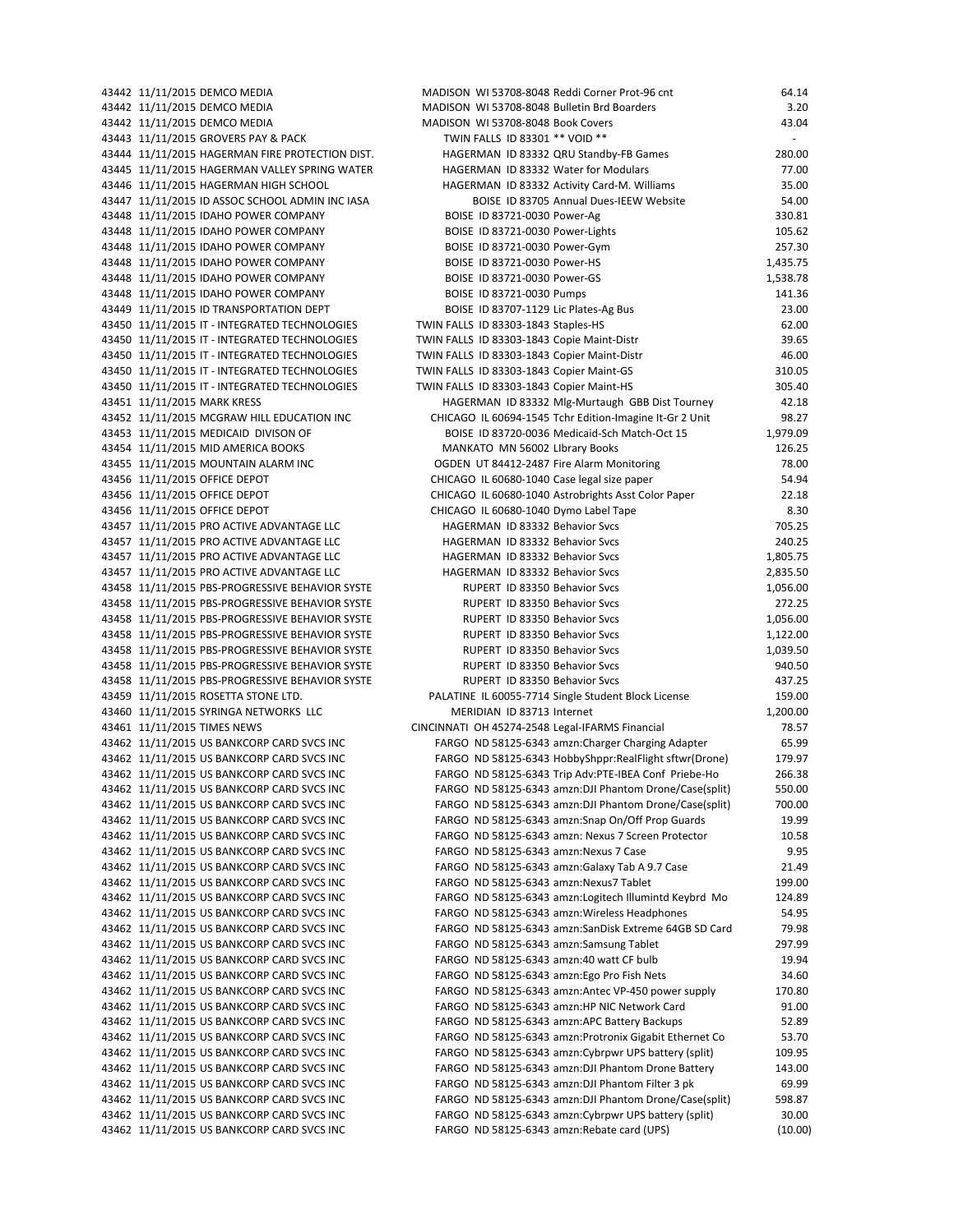| 43442 11/11/2015 DEMCO MEDIA                    | MADISON WI 53708-8048 Reddi Corner Prot-96 cnt          | 64.14    |
|-------------------------------------------------|---------------------------------------------------------|----------|
| 43442 11/11/2015 DEMCO MEDIA                    | MADISON WI 53708-8048 Bulletin Brd Boarders             | 3.20     |
| 43442 11/11/2015 DEMCO MEDIA                    | MADISON WI 53708-8048 Book Covers                       | 43.04    |
| 43443 11/11/2015 GROVERS PAY & PACK             | TWIN FALLS ID 83301 ** VOID **                          | ä,       |
| 43444 11/11/2015 HAGERMAN FIRE PROTECTION DIST. | HAGERMAN ID 83332 QRU Standby-FB Games                  | 280.00   |
| 43445 11/11/2015 HAGERMAN VALLEY SPRING WATER   | HAGERMAN ID 83332 Water for Modulars                    | 77.00    |
| 43446 11/11/2015 HAGERMAN HIGH SCHOOL           | HAGERMAN ID 83332 Activity Card-M. Williams             | 35.00    |
| 43447 11/11/2015 ID ASSOC SCHOOL ADMIN INC IASA | BOISE ID 83705 Annual Dues-IEEW Website                 | 54.00    |
| 43448 11/11/2015 IDAHO POWER COMPANY            | BOISE ID 83721-0030 Power-Ag                            | 330.81   |
| 43448 11/11/2015 IDAHO POWER COMPANY            | BOISE ID 83721-0030 Power-Lights                        | 105.62   |
| 43448 11/11/2015 IDAHO POWER COMPANY            | BOISE ID 83721-0030 Power-Gym                           | 257.30   |
| 43448 11/11/2015 IDAHO POWER COMPANY            | BOISE ID 83721-0030 Power-HS                            | 1,435.75 |
| 43448 11/11/2015 IDAHO POWER COMPANY            | BOISE ID 83721-0030 Power-GS                            | 1,538.78 |
| 43448 11/11/2015 IDAHO POWER COMPANY            | BOISE ID 83721-0030 Pumps                               | 141.36   |
| 43449 11/11/2015 ID TRANSPORTATION DEPT         | BOISE ID 83707-1129 Lic Plates-Ag Bus                   | 23.00    |
| 43450 11/11/2015 IT - INTEGRATED TECHNOLOGIES   | TWIN FALLS ID 83303-1843 Staples-HS                     | 62.00    |
| 43450 11/11/2015 IT - INTEGRATED TECHNOLOGIES   | TWIN FALLS ID 83303-1843 Copie Maint-Distr              | 39.65    |
| 43450 11/11/2015 IT - INTEGRATED TECHNOLOGIES   | TWIN FALLS ID 83303-1843 Copier Maint-Distr             | 46.00    |
| 43450 11/11/2015 IT - INTEGRATED TECHNOLOGIES   | TWIN FALLS ID 83303-1843 Copier Maint-GS                | 310.05   |
| 43450 11/11/2015 IT - INTEGRATED TECHNOLOGIES   | TWIN FALLS ID 83303-1843 Copier Maint-HS                | 305.40   |
| 43451 11/11/2015 MARK KRESS                     | HAGERMAN ID 83332 Mlg-Murtaugh GBB Dist Tourney         | 42.18    |
| 43452 11/11/2015 MCGRAW HILL EDUCATION INC      | CHICAGO IL 60694-1545 Tchr Edition-Imagine It-Gr 2 Unit | 98.27    |
| 43453 11/11/2015 MEDICAID DIVISON OF            | BOISE ID 83720-0036 Medicaid-Sch Match-Oct 15           | 1,979.09 |
| 43454 11/11/2015 MID AMERICA BOOKS              | MANKATO MN 56002 LIbrary Books                          | 126.25   |
| 43455 11/11/2015 MOUNTAIN ALARM INC             | OGDEN UT 84412-2487 Fire Alarm Monitoring               | 78.00    |
| 43456 11/11/2015 OFFICE DEPOT                   | CHICAGO IL 60680-1040 Case legal size paper             | 54.94    |
| 43456 11/11/2015 OFFICE DEPOT                   | CHICAGO IL 60680-1040 Astrobrights Asst Color Paper     | 22.18    |
| 43456 11/11/2015 OFFICE DEPOT                   | CHICAGO IL 60680-1040 Dymo Label Tape                   | 8.30     |
| 43457 11/11/2015 PRO ACTIVE ADVANTAGE LLC       | HAGERMAN ID 83332 Behavior Svcs                         | 705.25   |
| 43457 11/11/2015 PRO ACTIVE ADVANTAGE LLC       | HAGERMAN ID 83332 Behavior Svcs                         | 240.25   |
| 43457 11/11/2015 PRO ACTIVE ADVANTAGE LLC       | HAGERMAN ID 83332 Behavior Svcs                         | 1,805.75 |
| 43457 11/11/2015 PRO ACTIVE ADVANTAGE LLC       | HAGERMAN ID 83332 Behavior Svcs                         | 2,835.50 |
| 43458 11/11/2015 PBS-PROGRESSIVE BEHAVIOR SYSTE | RUPERT ID 83350 Behavior Svcs                           | 1,056.00 |
| 43458 11/11/2015 PBS-PROGRESSIVE BEHAVIOR SYSTE | RUPERT ID 83350 Behavior Svcs                           | 272.25   |
| 43458 11/11/2015 PBS-PROGRESSIVE BEHAVIOR SYSTE | RUPERT ID 83350 Behavior Svcs                           | 1,056.00 |
| 43458 11/11/2015 PBS-PROGRESSIVE BEHAVIOR SYSTE | RUPERT ID 83350 Behavior Svcs                           | 1,122.00 |
| 43458 11/11/2015 PBS-PROGRESSIVE BEHAVIOR SYSTE | RUPERT ID 83350 Behavior Svcs                           | 1,039.50 |
| 43458 11/11/2015 PBS-PROGRESSIVE BEHAVIOR SYSTE | RUPERT ID 83350 Behavior Svcs                           | 940.50   |
| 43458 11/11/2015 PBS-PROGRESSIVE BEHAVIOR SYSTE | RUPERT ID 83350 Behavior Svcs                           | 437.25   |
| 43459 11/11/2015 ROSETTA STONE LTD.             | PALATINE IL 60055-7714 Single Student Block License     | 159.00   |
| 43460 11/11/2015 SYRINGA NETWORKS LLC           | MERIDIAN ID 83713 Internet                              | 1,200.00 |
| 43461 11/11/2015 TIMES NEWS                     | CINCINNATI OH 45274-2548 Legal-IFARMS Financial         | 78.57    |
| 43462 11/11/2015 US BANKCORP CARD SVCS INC      | FARGO ND 58125-6343 amzn: Charger Charging Adapter      | 65.99    |
| 43462 11/11/2015 US BANKCORP CARD SVCS INC      | FARGO ND 58125-6343 HobbyShppr:RealFlight sftwr(Drone)  | 179.97   |
| 43462 11/11/2015 US BANKCORP CARD SVCS INC      | FARGO ND 58125-6343 Trip Adv:PTE-IBEA Conf Priebe-Ho    | 266.38   |
| 43462 11/11/2015 US BANKCORP CARD SVCS INC      | FARGO ND 58125-6343 amzn:DJI Phantom Drone/Case(split)  | 550.00   |
| 43462 11/11/2015 US BANKCORP CARD SVCS INC      | FARGO ND 58125-6343 amzn:DJI Phantom Drone/Case(split)  | 700.00   |
| 43462 11/11/2015 US BANKCORP CARD SVCS INC      | FARGO ND 58125-6343 amzn: Snap On/Off Prop Guards       | 19.99    |
| 43462 11/11/2015 US BANKCORP CARD SVCS INC      | FARGO ND 58125-6343 amzn: Nexus 7 Screen Protector      | 10.58    |
| 43462 11/11/2015 US BANKCORP CARD SVCS INC      | FARGO ND 58125-6343 amzn:Nexus 7 Case                   | 9.95     |
| 43462 11/11/2015 US BANKCORP CARD SVCS INC      | FARGO ND 58125-6343 amzn:Galaxy Tab A 9.7 Case          | 21.49    |
| 43462 11/11/2015 US BANKCORP CARD SVCS INC      | FARGO ND 58125-6343 amzn:Nexus7 Tablet                  | 199.00   |
| 43462 11/11/2015 US BANKCORP CARD SVCS INC      | FARGO ND 58125-6343 amzn: Logitech Illumintd Keybrd Mo  | 124.89   |
| 43462 11/11/2015 US BANKCORP CARD SVCS INC      | FARGO ND 58125-6343 amzn: Wireless Headphones           | 54.95    |
| 43462 11/11/2015 US BANKCORP CARD SVCS INC      | FARGO ND 58125-6343 amzn:SanDisk Extreme 64GB SD Card   | 79.98    |
| 43462 11/11/2015 US BANKCORP CARD SVCS INC      | FARGO ND 58125-6343 amzn:Samsung Tablet                 | 297.99   |
| 43462 11/11/2015 US BANKCORP CARD SVCS INC      | FARGO ND 58125-6343 amzn:40 watt CF bulb                | 19.94    |
| 43462 11/11/2015 US BANKCORP CARD SVCS INC      | FARGO ND 58125-6343 amzn:Ego Pro Fish Nets              | 34.60    |
| 43462 11/11/2015 US BANKCORP CARD SVCS INC      | FARGO ND 58125-6343 amzn:Antec VP-450 power supply      | 170.80   |
| 43462 11/11/2015 US BANKCORP CARD SVCS INC      | FARGO ND 58125-6343 amzn:HP NIC Network Card            | 91.00    |
| 43462 11/11/2015 US BANKCORP CARD SVCS INC      | FARGO ND 58125-6343 amzn:APC Battery Backups            | 52.89    |
| 43462 11/11/2015 US BANKCORP CARD SVCS INC      | FARGO ND 58125-6343 amzn:Protronix Gigabit Ethernet Co  | 53.70    |
| 43462 11/11/2015 US BANKCORP CARD SVCS INC      | FARGO ND 58125-6343 amzn: Cybrpwr UPS battery (split)   | 109.95   |
| 43462 11/11/2015 US BANKCORP CARD SVCS INC      | FARGO ND 58125-6343 amzn:DJI Phantom Drone Battery      | 143.00   |
| 43462 11/11/2015 US BANKCORP CARD SVCS INC      | FARGO ND 58125-6343 amzn:DJI Phantom Filter 3 pk        | 69.99    |
| 43462 11/11/2015 US BANKCORP CARD SVCS INC      | FARGO ND 58125-6343 amzn:DJI Phantom Drone/Case(split)  | 598.87   |
| 43462 11/11/2015 US BANKCORP CARD SVCS INC      | FARGO ND 58125-6343 amzn: Cybrpwr UPS battery (split)   | 30.00    |
| 43462 11/11/2015 US BANKCORP CARD SVCS INC      | FARGO ND 58125-6343 amzn:Rebate card (UPS)              | (10.00)  |
|                                                 |                                                         |          |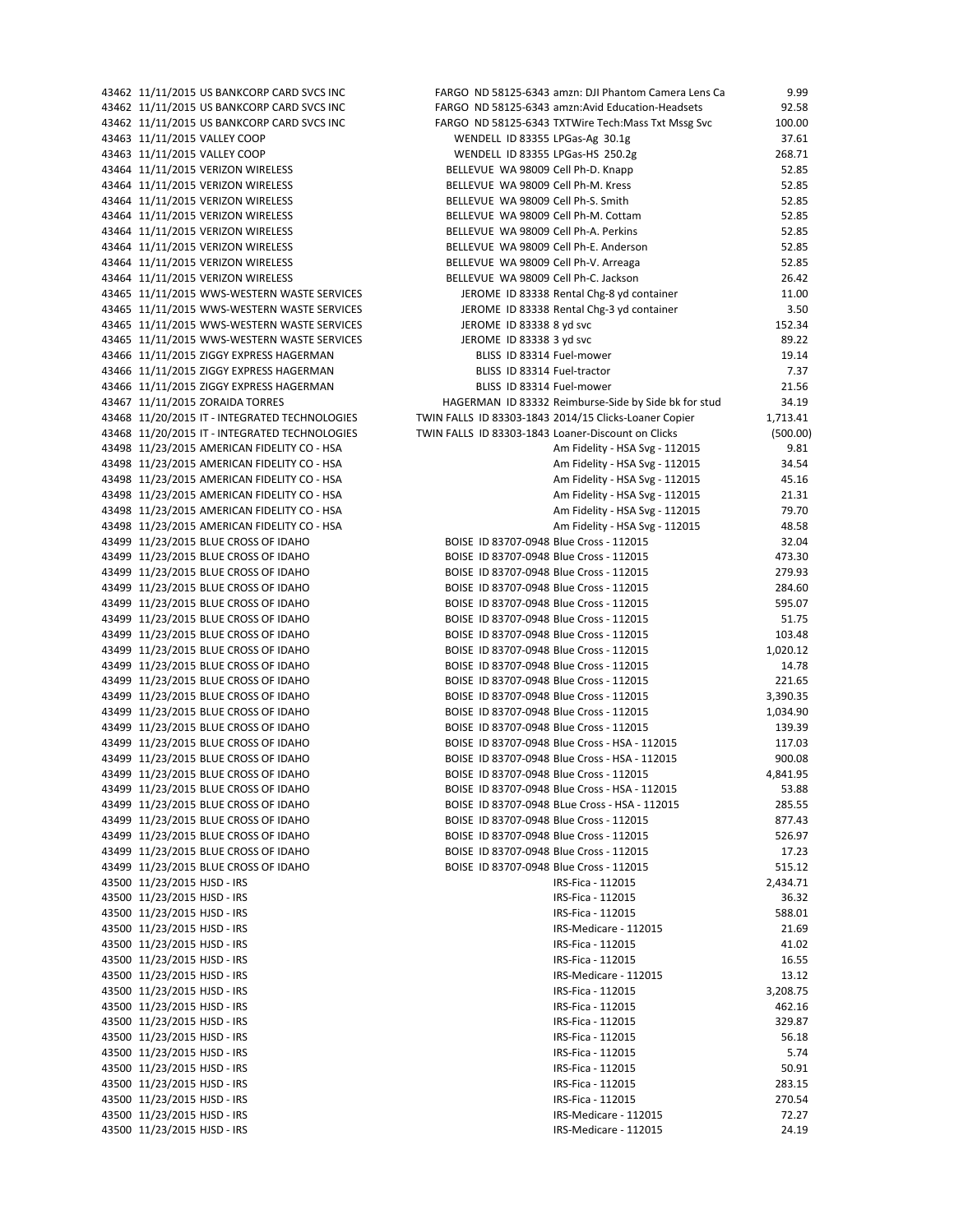| 43462 11/11/2015 US BANKCORP CARD SVCS INC    | FARGO ND 58125-6343 amzn: DJI Phantom Camera Lens Ca  | 9.99     |
|-----------------------------------------------|-------------------------------------------------------|----------|
| 43462 11/11/2015 US BANKCORP CARD SVCS INC    | FARGO ND 58125-6343 amzn:Avid Education-Headsets      | 92.58    |
| 43462 11/11/2015 US BANKCORP CARD SVCS INC    | FARGO ND 58125-6343 TXTWire Tech: Mass Txt Mssg Svc   | 100.00   |
| 43463 11/11/2015 VALLEY COOP                  | WENDELL ID 83355 LPGas-Ag 30.1g                       | 37.61    |
| 43463 11/11/2015 VALLEY COOP                  | WENDELL ID 83355 LPGas-HS 250.2g                      | 268.71   |
| 43464 11/11/2015 VERIZON WIRELESS             | BELLEVUE WA 98009 Cell Ph-D. Knapp                    | 52.85    |
| 43464 11/11/2015 VERIZON WIRELESS             | BELLEVUE WA 98009 Cell Ph-M. Kress                    | 52.85    |
| 43464 11/11/2015 VERIZON WIRELESS             | BELLEVUE WA 98009 Cell Ph-S. Smith                    | 52.85    |
| 43464 11/11/2015 VERIZON WIRELESS             | BELLEVUE WA 98009 Cell Ph-M. Cottam                   | 52.85    |
| 43464 11/11/2015 VERIZON WIRELESS             | BELLEVUE WA 98009 Cell Ph-A. Perkins                  | 52.85    |
| 43464 11/11/2015 VERIZON WIRELESS             | BELLEVUE WA 98009 Cell Ph-E. Anderson                 | 52.85    |
| 43464 11/11/2015 VERIZON WIRELESS             | BELLEVUE WA 98009 Cell Ph-V. Arreaga                  | 52.85    |
| 43464 11/11/2015 VERIZON WIRELESS             | BELLEVUE WA 98009 Cell Ph-C. Jackson                  | 26.42    |
| 43465 11/11/2015 WWS-WESTERN WASTE SERVICES   | JEROME ID 83338 Rental Chg-8 yd container             | 11.00    |
| 43465 11/11/2015 WWS-WESTERN WASTE SERVICES   | JEROME ID 83338 Rental Chg-3 yd container             | 3.50     |
| 43465 11/11/2015 WWS-WESTERN WASTE SERVICES   | JEROME ID 83338 8 yd svc                              | 152.34   |
| 43465 11/11/2015 WWS-WESTERN WASTE SERVICES   | JEROME ID 83338 3 yd svc                              | 89.22    |
| 43466 11/11/2015 ZIGGY EXPRESS HAGERMAN       | BLISS ID 83314 Fuel-mower                             | 19.14    |
| 43466 11/11/2015 ZIGGY EXPRESS HAGERMAN       | BLISS ID 83314 Fuel-tractor                           | 7.37     |
| 43466 11/11/2015 ZIGGY EXPRESS HAGERMAN       | BLISS ID 83314 Fuel-mower                             | 21.56    |
| 43467 11/11/2015 ZORAIDA TORRES               | HAGERMAN ID 83332 Reimburse-Side by Side bk for stud  | 34.19    |
| 43468 11/20/2015 IT - INTEGRATED TECHNOLOGIES | TWIN FALLS ID 83303-1843 2014/15 Clicks-Loaner Copier | 1,713.41 |
| 43468 11/20/2015 IT - INTEGRATED TECHNOLOGIES | TWIN FALLS ID 83303-1843 Loaner-Discount on Clicks    | (500.00) |
| 43498 11/23/2015 AMERICAN FIDELITY CO - HSA   | Am Fidelity - HSA Svg - 112015                        | 9.81     |
| 43498 11/23/2015 AMERICAN FIDELITY CO - HSA   | Am Fidelity - HSA Svg - 112015                        | 34.54    |
| 43498 11/23/2015 AMERICAN FIDELITY CO - HSA   | Am Fidelity - HSA Svg - 112015                        | 45.16    |
| 43498 11/23/2015 AMERICAN FIDELITY CO - HSA   | Am Fidelity - HSA Svg - 112015                        | 21.31    |
| 43498 11/23/2015 AMERICAN FIDELITY CO - HSA   | Am Fidelity - HSA Svg - 112015                        | 79.70    |
| 43498 11/23/2015 AMERICAN FIDELITY CO - HSA   | Am Fidelity - HSA Svg - 112015                        | 48.58    |
| 43499 11/23/2015 BLUE CROSS OF IDAHO          | BOISE ID 83707-0948 Blue Cross - 112015               | 32.04    |
| 43499 11/23/2015 BLUE CROSS OF IDAHO          | BOISE ID 83707-0948 Blue Cross - 112015               | 473.30   |
| 43499 11/23/2015 BLUE CROSS OF IDAHO          | BOISE ID 83707-0948 Blue Cross - 112015               | 279.93   |
| 43499 11/23/2015 BLUE CROSS OF IDAHO          | BOISE ID 83707-0948 Blue Cross - 112015               | 284.60   |
| 43499 11/23/2015 BLUE CROSS OF IDAHO          | BOISE ID 83707-0948 Blue Cross - 112015               | 595.07   |
| 43499 11/23/2015 BLUE CROSS OF IDAHO          | BOISE ID 83707-0948 Blue Cross - 112015               | 51.75    |
| 43499 11/23/2015 BLUE CROSS OF IDAHO          | BOISE ID 83707-0948 Blue Cross - 112015               | 103.48   |
| 43499 11/23/2015 BLUE CROSS OF IDAHO          | BOISE ID 83707-0948 Blue Cross - 112015               | 1,020.12 |
| 43499 11/23/2015 BLUE CROSS OF IDAHO          | BOISE ID 83707-0948 Blue Cross - 112015               | 14.78    |
| 43499 11/23/2015 BLUE CROSS OF IDAHO          | BOISE ID 83707-0948 Blue Cross - 112015               | 221.65   |
| 43499 11/23/2015 BLUE CROSS OF IDAHO          | BOISE ID 83707-0948 Blue Cross - 112015               | 3,390.35 |
| 43499 11/23/2015 BLUE CROSS OF IDAHO          | BOISE ID 83707-0948 Blue Cross - 112015               | 1,034.90 |
| 43499 11/23/2015 BLUE CROSS OF IDAHO          | BOISE ID 83707-0948 Blue Cross - 112015               | 139.39   |
| 43499 11/23/2015 BLUE CROSS OF IDAHO          | BOISE ID 83707-0948 Blue Cross - HSA - 112015         | 117.03   |
| 43499 11/23/2015 BLUE CROSS OF IDAHO          | BOISE ID 83707-0948 Blue Cross - HSA - 112015         | 900.08   |
| 43499 11/23/2015 BLUE CROSS OF IDAHO          | BOISE ID 83707-0948 Blue Cross - 112015               | 4,841.95 |
| 43499 11/23/2015 BLUE CROSS OF IDAHO          | BOISE ID 83707-0948 Blue Cross - HSA - 112015         | 53.88    |
| 43499 11/23/2015 BLUE CROSS OF IDAHO          | BOISE ID 83707-0948 BLue Cross - HSA - 112015         | 285.55   |
| 43499 11/23/2015 BLUE CROSS OF IDAHO          | BOISE ID 83707-0948 Blue Cross - 112015               | 877.43   |
| 43499 11/23/2015 BLUE CROSS OF IDAHO          | BOISE ID 83707-0948 Blue Cross - 112015               | 526.97   |
| 43499 11/23/2015 BLUE CROSS OF IDAHO          | BOISE ID 83707-0948 Blue Cross - 112015               | 17.23    |
| 43499 11/23/2015 BLUE CROSS OF IDAHO          | BOISE ID 83707-0948 Blue Cross - 112015               | 515.12   |
| 43500 11/23/2015 HJSD - IRS                   | IRS-Fica - 112015                                     | 2,434.71 |
| 43500 11/23/2015 HJSD - IRS                   | IRS-Fica - 112015                                     | 36.32    |
| 43500 11/23/2015 HJSD - IRS                   | IRS-Fica - 112015                                     | 588.01   |
| 43500 11/23/2015 HJSD - IRS                   | IRS-Medicare - 112015                                 | 21.69    |
| 43500 11/23/2015 HJSD - IRS                   | IRS-Fica - 112015                                     | 41.02    |
| 43500 11/23/2015 HJSD - IRS                   | IRS-Fica - 112015                                     | 16.55    |
| 43500 11/23/2015 HJSD - IRS                   | IRS-Medicare - 112015                                 | 13.12    |
| 43500 11/23/2015 HJSD - IRS                   | IRS-Fica - 112015                                     | 3,208.75 |
| 43500 11/23/2015 HJSD - IRS                   | IRS-Fica - 112015                                     | 462.16   |
| 43500 11/23/2015 HJSD - IRS                   | IRS-Fica - 112015                                     | 329.87   |
| 43500 11/23/2015 HJSD - IRS                   | IRS-Fica - 112015                                     | 56.18    |
| 43500 11/23/2015 HJSD - IRS                   | IRS-Fica - 112015                                     | 5.74     |
| 43500 11/23/2015 HJSD - IRS                   | IRS-Fica - 112015                                     | 50.91    |
| 43500 11/23/2015 HJSD - IRS                   | IRS-Fica - 112015                                     | 283.15   |
| 43500 11/23/2015 HJSD - IRS                   | IRS-Fica - 112015                                     | 270.54   |
| 43500 11/23/2015 HJSD - IRS                   | IRS-Medicare - 112015                                 | 72.27    |
| 43500 11/23/2015 HJSD - IRS                   | IRS-Medicare - 112015                                 | 24.19    |
|                                               |                                                       |          |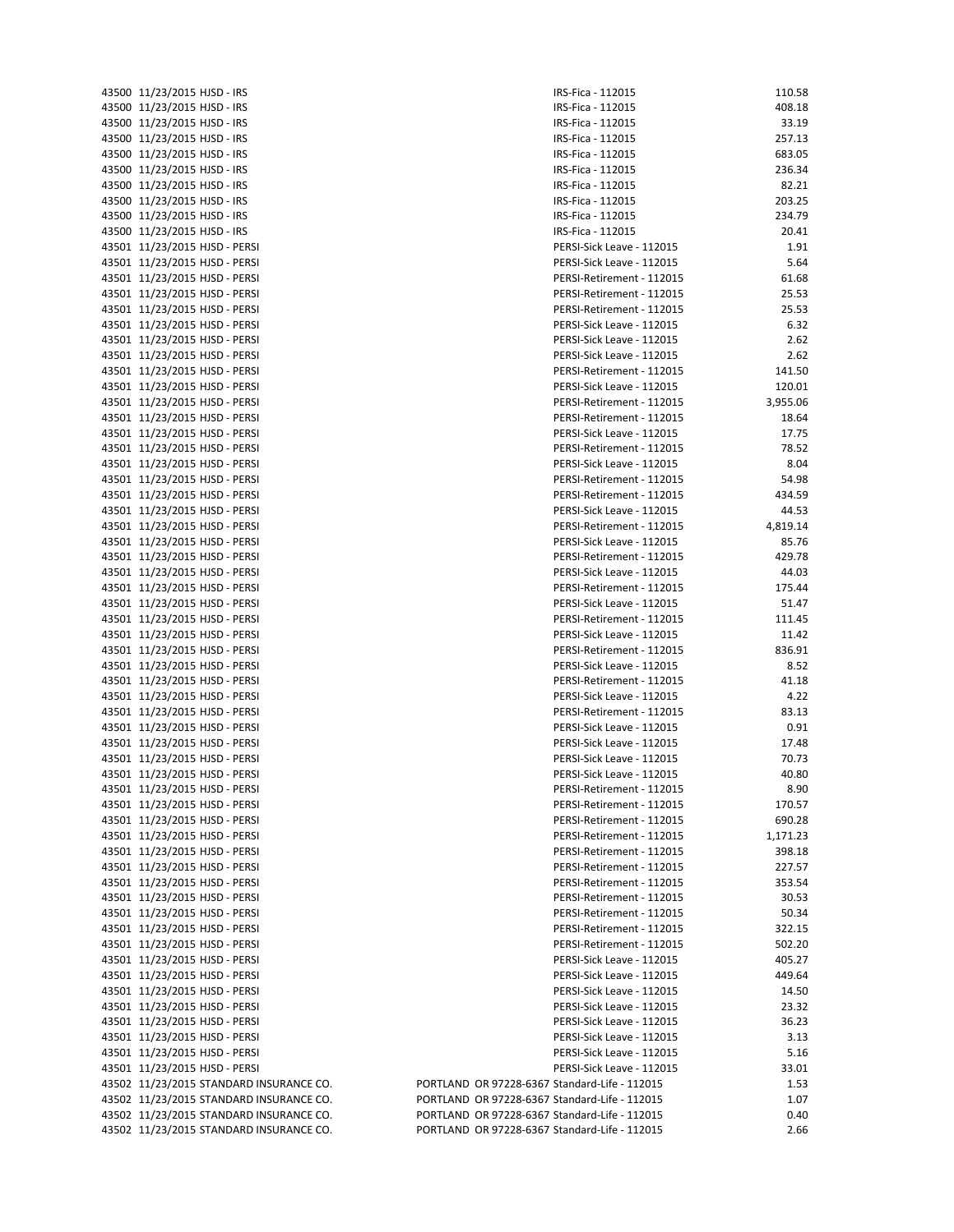| 43500          | 11/23/2015 HJSD - IRS            |
|----------------|----------------------------------|
|                | 43500 11/23/2015 HJSD - IRS      |
| 43500          | 11/23/2015 HJSD - IRS            |
| 43500          | 11/23/2015 HJSD - IRS            |
| 43500          | 11/23/2015 HJSD - IRS            |
| 43500          | 11/23/2015 HJSD - IRS            |
| 43500          | 11/23/2015 HJSD - IRS            |
| 43500          | 11/23/2015 HJSD - IRS            |
| 43500          | 11/23/2015 HJSD - IRS            |
| 43500          | 11/23/2015 HJSD - IRS            |
| 43501          | 11/23/2015 HJSD - PERSI          |
| 43501          | 11/23/2015 HJSD - PERSI          |
| 43501          | 11/23/2015 HJSD - PERSI          |
| 43501          |                                  |
|                | 11/23/2015 HJSD - PERSI          |
| 43501          | 11/23/2015 HJSD - PERSI          |
|                | 43501 11/23/2015 HJSD - PERSI    |
| 43501          | 11/23/2015 HJSD - PERSI          |
| 43501          | 11/23/2015 HJSD - PERSI          |
|                | 43501 11/23/2015 HJSD - PERSI    |
| 43501          | 11/23/2015 HJSD - PERSI          |
| 43501          | 11/23/2015 HJSD - PERSI          |
|                | 43501 11/23/2015 HJSD - PERSI    |
| 43501          | 11/23/2015 HJSD - PERSI          |
|                | 43501 11/23/2015 HJSD - PERSI    |
|                | 43501 11/23/2015 HJSD - PERSI    |
| 43501          | 11/23/2015 HJSD - PERSI          |
|                | 43501 11/23/2015 HJSD - PERSI    |
|                | 43501 11/23/2015 HJSD - PERSI    |
| 43501          | 11/23/2015 HJSD - PERSI          |
|                | 43501 11/23/2015 HJSD - PERSI    |
|                | 43501 11/23/2015 HJSD - PERSI    |
| 43501          | 11/23/2015 HJSD - PERSI          |
|                | 43501 11/23/2015 HJSD - PERSI    |
| 43501          | 11/23/2015 HJSD - PERSI          |
| 43501          | 11/23/2015 HJSD - PERSI          |
| 43501          | 11/23/2015 HJSD - PERSI          |
|                | 43501 11/23/2015 HJSD - PERSI    |
| 43501          | 11/23/2015 HJSD - PERSI          |
| 43501          | 11/23/2015 HJSD - PERSI          |
|                | 43501 11/23/2015 HJSD - PERSI    |
| 43501          | 11/23/2015 HJSD - PERSI          |
|                | 43501 11/23/2015 HJSD - PERSI    |
|                | 43501 11/23/2015 HJSD - PERSI    |
|                |                                  |
| 43501<br>43501 | 11/23/2015 HJSD - PERSI          |
|                | 11/23/2015 HJSD - PERSI          |
| 43501          | 11/23/2015 HJSD - PERSI          |
| 43501          | 11/23/2015 HJSD - PERSI          |
| 43501          | 11/23/2015 HJSD - PERSI          |
| 43501          | 11/23/2015 HJSD - PERSI          |
| 43501          | 11/23/2015 HJSD - PERSI          |
| 43501          | 11/23/2015 HJSD - PERSI          |
| 43501          | 11/23/2015 HJSD - PERSI          |
| 43501          | 11/23/2015 HJSD - PERSI          |
| 43501          | 11/23/2015 HJSD - PERSI          |
| 43501          | 11/23/2015 HJSD - PERSI          |
| 43501          | 11/23/2015 HJSD - PERSI          |
| 43501          | 11/23/2015 HJSD - PERSI          |
| 43501          | 11/23/2015 HJSD - PERSI          |
| 43501          | 11/23/2015 HJSD - PERSI          |
| 43501          | 11/23/2015 HJSD - PERSI          |
| 43501          | 11/23/2015 HJSD - PERSI          |
| 43501          | 11/23/2015 HJSD - PERSI          |
| 43501          | 11/23/2015 HJSD - PERSI          |
| 43501          | 11/23/2015 HJSD - PERSI          |
| 43502          | 11/23/2015 STANDARD INSURA       |
| 43502          | 11/23/2015 STANDARD INSURA       |
| 43502          | 11/23/2015 STANDARD INSURA       |
|                | 43502 11/23/2015 STANDARD INSURA |
|                |                                  |

| 43500 11/23/2015 HJSD - IRS             | IRS-Fica - 112015                                      | 110.58         |
|-----------------------------------------|--------------------------------------------------------|----------------|
| 43500 11/23/2015 HJSD - IRS             | IRS-Fica - 112015                                      | 408.18         |
| 43500 11/23/2015 HJSD - IRS             | IRS-Fica - 112015                                      | 33.19          |
| 43500 11/23/2015 HJSD - IRS             | IRS-Fica - 112015                                      | 257.13         |
| 43500 11/23/2015 HJSD - IRS             | IRS-Fica - 112015                                      | 683.05         |
| 43500 11/23/2015 HJSD - IRS             | IRS-Fica - 112015                                      | 236.34         |
| 43500 11/23/2015 HJSD - IRS             | IRS-Fica - 112015                                      | 82.21          |
| 43500 11/23/2015 HJSD - IRS             | IRS-Fica - 112015                                      | 203.25         |
| 43500 11/23/2015 HJSD - IRS             | IRS-Fica - 112015                                      | 234.79         |
| 43500 11/23/2015 HJSD - IRS             | IRS-Fica - 112015                                      | 20.41          |
| 43501 11/23/2015 HJSD - PERSI           | PERSI-Sick Leave - 112015                              | 1.91           |
| 43501 11/23/2015 HJSD - PERSI           | PERSI-Sick Leave - 112015                              | 5.64           |
| 43501 11/23/2015 HJSD - PERSI           | PERSI-Retirement - 112015                              | 61.68          |
| 43501 11/23/2015 HJSD - PERSI           | PERSI-Retirement - 112015                              | 25.53          |
| 43501 11/23/2015 HJSD - PERSI           | PERSI-Retirement - 112015                              | 25.53          |
| 43501 11/23/2015 HJSD - PERSI           | PERSI-Sick Leave - 112015                              | 6.32           |
| 43501 11/23/2015 HJSD - PERSI           | PERSI-Sick Leave - 112015                              | 2.62           |
| 43501 11/23/2015 HJSD - PERSI           | PERSI-Sick Leave - 112015                              | 2.62           |
|                                         | PERSI-Retirement - 112015                              | 141.50         |
| 43501 11/23/2015 HJSD - PERSI           |                                                        | 120.01         |
| 43501 11/23/2015 HJSD - PERSI           | PERSI-Sick Leave - 112015                              |                |
| 43501 11/23/2015 HJSD - PERSI           | PERSI-Retirement - 112015                              | 3,955.06       |
| 43501 11/23/2015 HJSD - PERSI           | PERSI-Retirement - 112015                              | 18.64          |
| 43501 11/23/2015 HJSD - PERSI           | PERSI-Sick Leave - 112015                              | 17.75          |
| 43501 11/23/2015 HJSD - PERSI           | PERSI-Retirement - 112015                              | 78.52          |
| 43501 11/23/2015 HJSD - PERSI           | PERSI-Sick Leave - 112015                              | 8.04           |
| 43501 11/23/2015 HJSD - PERSI           | PERSI-Retirement - 112015                              | 54.98          |
| 43501 11/23/2015 HJSD - PERSI           | PERSI-Retirement - 112015                              | 434.59         |
| 43501 11/23/2015 HJSD - PERSI           | PERSI-Sick Leave - 112015                              | 44.53          |
| 43501 11/23/2015 HJSD - PERSI           | PERSI-Retirement - 112015                              | 4,819.14       |
| 43501 11/23/2015 HJSD - PERSI           | PERSI-Sick Leave - 112015                              | 85.76          |
| 43501 11/23/2015 HJSD - PERSI           | PERSI-Retirement - 112015                              | 429.78         |
| 43501 11/23/2015 HJSD - PERSI           | PERSI-Sick Leave - 112015                              | 44.03          |
| 43501 11/23/2015 HJSD - PERSI           | PERSI-Retirement - 112015                              | 175.44         |
| 43501 11/23/2015 HJSD - PERSI           | PERSI-Sick Leave - 112015                              | 51.47          |
| 43501 11/23/2015 HJSD - PERSI           | PERSI-Retirement - 112015                              | 111.45         |
| 43501 11/23/2015 HJSD - PERSI           | PERSI-Sick Leave - 112015                              | 11.42          |
| 43501 11/23/2015 HJSD - PERSI           | PERSI-Retirement - 112015                              | 836.91         |
| 43501 11/23/2015 HJSD - PERSI           | PERSI-Sick Leave - 112015                              | 8.52           |
| 43501 11/23/2015 HJSD - PERSI           | PERSI-Retirement - 112015                              | 41.18          |
| 43501 11/23/2015 HJSD - PERSI           | PERSI-Sick Leave - 112015                              | 4.22           |
| 43501 11/23/2015 HJSD - PERSI           | PERSI-Retirement - 112015                              | 83.13          |
| 43501 11/23/2015 HJSD - PERSI           | PERSI-Sick Leave - 112015                              | 0.91           |
| 43501 11/23/2015 HJSD - PERSI           | PERSI-Sick Leave - 112015                              | 17.48          |
| 43501 11/23/2015 HJSD - PERSI           | PERSI-Sick Leave - 112015                              | 70.73          |
| 43501 11/23/2015 HJSD - PERSI           | PERSI-Sick Leave - 112015                              | 40.80          |
| 43501 11/23/2015 HJSD - PERSI           | PERSI-Retirement - 112015                              | 8.90           |
| 43501 11/23/2015 HJSD - PERSI           | PERSI-Retirement - 112015                              | 170.57         |
| 43501 11/23/2015 HJSD - PERSI           | PERSI-Retirement - 112015                              | 690.28         |
| 43501 11/23/2015 HJSD - PERSI           | PERSI-Retirement - 112015                              | 1,171.23       |
| 43501 11/23/2015 HJSD - PERSI           | PERSI-Retirement - 112015                              | 398.18         |
| 43501 11/23/2015 HJSD - PERSI           | PERSI-Retirement - 112015                              | 227.57         |
| 43501 11/23/2015 HJSD - PERSI           | PERSI-Retirement - 112015                              | 353.54         |
| 43501 11/23/2015 HJSD - PERSI           | PERSI-Retirement - 112015                              | 30.53          |
| 43501 11/23/2015 HJSD - PERSI           | PERSI-Retirement - 112015                              | 50.34          |
| 43501 11/23/2015 HJSD - PERSI           | PERSI-Retirement - 112015                              | 322.15         |
| 43501 11/23/2015 HJSD - PERSI           | PERSI-Retirement - 112015                              | 502.20         |
| 43501 11/23/2015 HJSD - PERSI           | PERSI-Sick Leave - 112015                              | 405.27         |
| 43501 11/23/2015 HJSD - PERSI           | PERSI-Sick Leave - 112015                              | 449.64         |
| 43501 11/23/2015 HJSD - PERSI           | PERSI-Sick Leave - 112015                              | 14.50          |
|                                         |                                                        |                |
| 43501 11/23/2015 HJSD - PERSI           | PERSI-Sick Leave - 112015<br>PERSI-Sick Leave - 112015 | 23.32<br>36.23 |
| 43501 11/23/2015 HJSD - PERSI           |                                                        |                |
| 43501 11/23/2015 HJSD - PERSI           | PERSI-Sick Leave - 112015                              | 3.13           |
| 43501 11/23/2015 HJSD - PERSI           | PERSI-Sick Leave - 112015                              | 5.16           |
| 43501 11/23/2015 HJSD - PERSI           | PERSI-Sick Leave - 112015                              | 33.01          |
| 43502 11/23/2015 STANDARD INSURANCE CO. | PORTLAND OR 97228-6367 Standard-Life - 112015          | 1.53           |
| 43502 11/23/2015 STANDARD INSURANCE CO. | PORTLAND OR 97228-6367 Standard-Life - 112015          | 1.07           |
| 43502 11/23/2015 STANDARD INSURANCE CO. | PORTLAND OR 97228-6367 Standard-Life - 112015          | 0.40           |
| 43502 11/23/2015 STANDARD INSURANCE CO. | PORTLAND OR 97228-6367 Standard-Life - 112015          | 2.66           |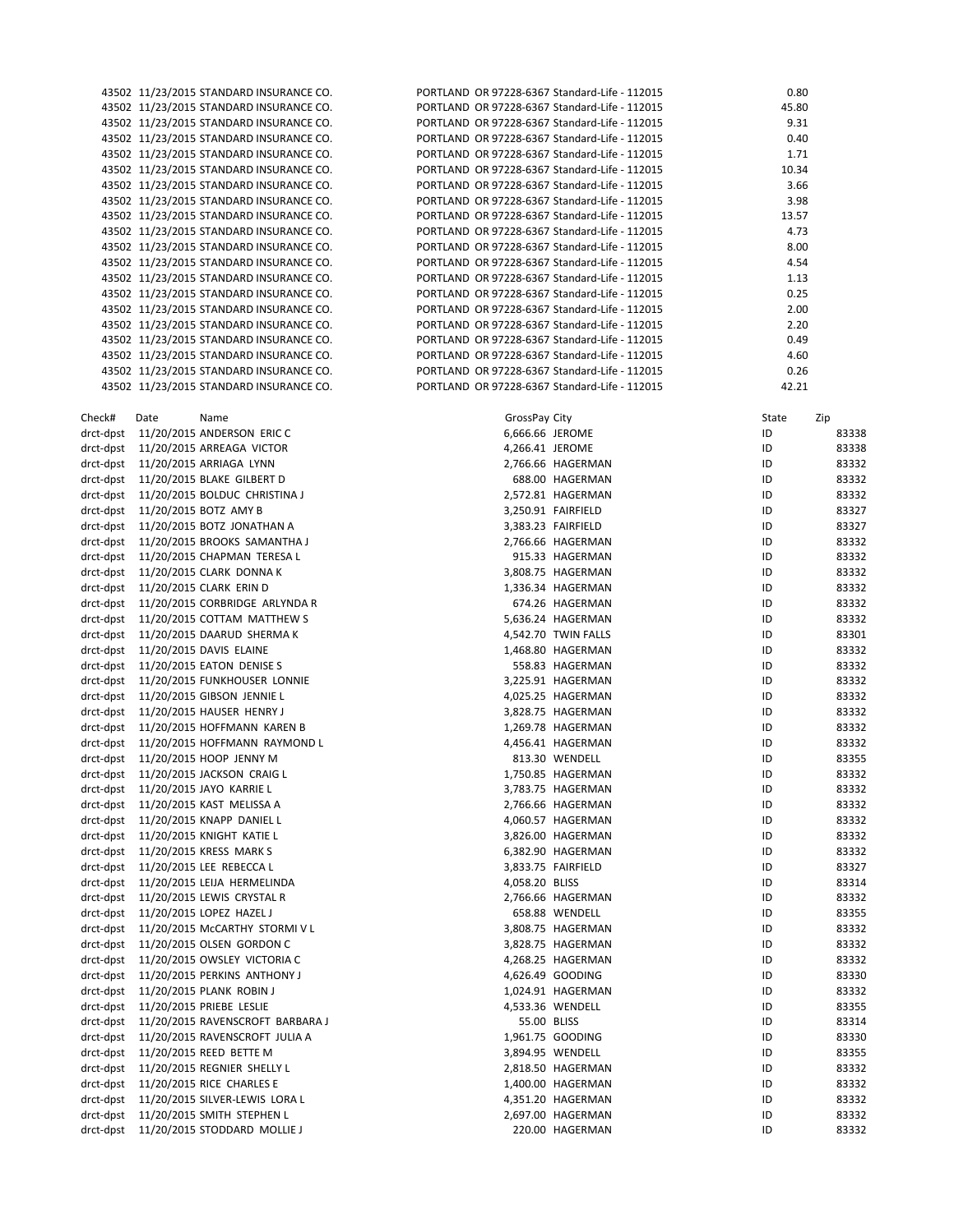43502 11/23/2015 STANDARD INSURANCE CO. PORTLAND IN 43502 11/23/2015 STANDARD INSURANCE CO. 43502 11/23/2015 STANDARD INSURANCE CO. PORTLAND IS 43502 11/23/2015 STANDARD INSURANCE CO. PORTLAND IN 43502 11/23/2015 STANDARD INSURANCE CO. P 43502 11/23/2015 STANDARD INSURANCE CO. P 43502 11/23/2015 STANDARD INSURANCE CO. P 43502 11/23/2015 STANDARD INSURANCE CO. P 43502 11/23/2015 STANDARD INSURANCE CO. P 43502 11/23/2015 STANDARD INSURANCE CO. P 43502 11/23/2015 STANDARD INSURANCE CO. P 43502 11/23/2015 STANDARD INSURANCE CO. P 43502 11/23/2015 STANDARD INSURANCE CO. P 43502 11/23/2015 STANDARD INSURANCE CO. P 43502 11/23/2015 STANDARD INSURANCE CO. P 43502 11/23/2015 STANDARD INSURANCE CO. P 43502 11/23/2015 STANDARD INSURANCE CO. PORTLAND IS 43502 11/23/2015 STANDARD INSURANCE CO. P 43502 11/23/2015 STANDARD INSURANCE CO. P 43502 11/23/2015 STANDARD INSURANCE CO. PORTLAND IN drct-dpst 11/20/2015 ANDERSON ERIC C drct-dpst 11/20/2015 ARREAGA VICTOR drct-dpst 11/20/2015 ARRIAGA LYNN drct-dpst 11/20/2015 BLAKE GILBERT D drct-dpst 11/20/2015 BOLDUC CHRISTINA J drct‐dpst 11/20/2015 BOTZ AMY B 3,250.91 FAIRFIELD ID 83327 drct-dpst 11/20/2015 BOTZ JONATHAN A drct-dpst 11/20/2015 BROOKS SAMANTHA J drct-dpst 11/20/2015 CHAPMAN TERESA L drct-dpst 11/20/2015 CLARK DONNA K drct-dpst 11/20/2015 CLARK ERIN D drct-dpst 11/20/2015 CORBRIDGE ARLYNDA R drct-dpst 11/20/2015 COTTAM MATTHEW S drct-dpst 11/20/2015 DAARUD SHERMA K drct-dpst 11/20/2015 DAVIS ELAINE drct-dpst 11/20/2015 EATON DENISE S drct-dpst 11/20/2015 FUNKHOUSER LONNIE drct‐dpst 11/20/2015 GIBSON JENNIE L 4,025.25 HAGERMAN ID 83332 drct‐dpst 11/20/2015 HAUSER HENRY J 3,828.75 HAGERMAN ID 83332 drct-dpst 11/20/2015 HOFFMANN KAREN B drct-dpst 11/20/2015 HOFFMANN RAYMOND L drct-dpst 11/20/2015 HOOP JENNY M drct-dpst 11/20/2015 JACKSON CRAIG L drct-dpst 11/20/2015 JAYO KARRIE L drct-dpst 11/20/2015 KAST MELISSA A drct-dpst 11/20/2015 KNAPP DANIEL L drct-dpst 11/20/2015 KNIGHT KATIE L drct-dpst 11/20/2015 KRESS MARK S drct-dpst 11/20/2015 LEE REBECCA L drct-dpst 11/20/2015 LEIJA HERMELINDA drct-dpst 11/20/2015 LEWIS CRYSTAL R drct-dpst 11/20/2015 LOPEZ HAZEL J drct-dpst 11/20/2015 McCARTHY STORMI V L drct-dpst 11/20/2015 OLSEN GORDON C drct-dpst 11/20/2015 OWSLEY VICTORIA C drct-dpst 11/20/2015 PERKINS ANTHONY J drct‐dpst 11/20/2015 PLANK ROBIN J 1,024.91 HAGERMAN ID 83332 drct-dpst 11/20/2015 PRIEBE LESLIE drct-dpst 11/20/2015 RAVENSCROFT BARBARA J drct-dpst 11/20/2015 RAVENSCROFT JULIA A drct-dpst 11/20/2015 REED BETTE M drct-dpst 11/20/2015 REGNIER SHELLY L drct-dpst 11/20/2015 RICE CHARLES E drct-dpst 11/20/2015 SILVER-LEWIS LORA L drct-dpst 11/20/2015 SMITH STEPHEN L drct-dpst 11/20/2015 STODDARD MOLLIE J

|  | PORTLAND OR 97228-6367 Standard-Life - 112015 | 0.80  |
|--|-----------------------------------------------|-------|
|  | PORTLAND OR 97228-6367 Standard-Life - 112015 | 45.80 |
|  | PORTLAND OR 97228-6367 Standard-Life - 112015 | 9.31  |
|  | PORTLAND OR 97228-6367 Standard-Life - 112015 | 0.40  |
|  | PORTLAND OR 97228-6367 Standard-Life - 112015 | 1.71  |
|  | PORTLAND OR 97228-6367 Standard-Life - 112015 | 10.34 |
|  | PORTLAND OR 97228-6367 Standard-Life - 112015 | 3.66  |
|  | PORTLAND OR 97228-6367 Standard-Life - 112015 | 3.98  |
|  | PORTLAND OR 97228-6367 Standard-Life - 112015 | 13.57 |
|  | PORTLAND OR 97228-6367 Standard-Life - 112015 | 4.73  |
|  | PORTLAND OR 97228-6367 Standard-Life - 112015 | 8.00  |
|  | PORTLAND OR 97228-6367 Standard-Life - 112015 | 4.54  |
|  | PORTLAND OR 97228-6367 Standard-Life - 112015 | 1.13  |
|  | PORTLAND OR 97228-6367 Standard-Life - 112015 | 0.25  |
|  | PORTLAND OR 97228-6367 Standard-Life - 112015 | 2.00  |
|  | PORTLAND OR 97228-6367 Standard-Life - 112015 | 2.20  |
|  | PORTLAND OR 97228-6367 Standard-Life - 112015 | 0.49  |
|  | PORTLAND OR 97228-6367 Standard-Life - 112015 | 4.60  |
|  | PORTLAND OR 97228-6367 Standard-Life - 112015 | 0.26  |
|  | PORTLAND OR 97228-6367 Standard-Life - 112015 | 42.21 |

| Check#    | Date                            | Name                                       | GrossPay City   |                     | State | Zip   |
|-----------|---------------------------------|--------------------------------------------|-----------------|---------------------|-------|-------|
| drct-dpst |                                 | 11/20/2015 ANDERSON ERIC C                 | 6,666.66 JEROME |                     | ID    | 83338 |
|           |                                 | drct-dpst 11/20/2015 ARREAGA VICTOR        | 4,266.41 JEROME |                     | ID    | 83338 |
|           |                                 | drct-dpst 11/20/2015 ARRIAGA LYNN          |                 | 2,766.66 HAGERMAN   | ID    | 83332 |
|           |                                 | drct-dpst 11/20/2015 BLAKE GILBERT D       |                 | 688.00 HAGERMAN     | ID    | 83332 |
|           |                                 | drct-dpst 11/20/2015 BOLDUC CHRISTINA J    |                 | 2,572.81 HAGERMAN   | ID    | 83332 |
|           | drct-dpst 11/20/2015 BOTZ AMY B |                                            |                 | 3,250.91 FAIRFIELD  | ID    | 83327 |
|           |                                 | drct-dpst 11/20/2015 BOTZ JONATHAN A       |                 | 3,383.23 FAIRFIELD  | ID    | 83327 |
|           |                                 | drct-dpst 11/20/2015 BROOKS SAMANTHA J     |                 | 2,766.66 HAGERMAN   | ID    | 83332 |
|           |                                 | drct-dpst 11/20/2015 CHAPMAN TERESA L      |                 | 915.33 HAGERMAN     | ID    | 83332 |
|           |                                 | drct-dpst 11/20/2015 CLARK DONNA K         |                 | 3,808.75 HAGERMAN   | ID    | 83332 |
|           |                                 | drct-dpst 11/20/2015 CLARK ERIN D          |                 | 1,336.34 HAGERMAN   | ID    | 83332 |
|           |                                 | drct-dpst 11/20/2015 CORBRIDGE ARLYNDA R   |                 | 674.26 HAGERMAN     | ID    | 83332 |
|           |                                 | drct-dpst 11/20/2015 COTTAM MATTHEW S      |                 | 5,636.24 HAGERMAN   | ID    | 83332 |
|           |                                 | drct-dpst 11/20/2015 DAARUD SHERMA K       |                 | 4,542.70 TWIN FALLS | ID    | 83301 |
|           |                                 | drct-dpst 11/20/2015 DAVIS ELAINE          |                 | 1,468.80 HAGERMAN   | ID    | 83332 |
|           |                                 | drct-dpst 11/20/2015 EATON DENISE S        |                 | 558.83 HAGERMAN     | ID    | 83332 |
|           |                                 | drct-dpst 11/20/2015 FUNKHOUSER LONNIE     |                 | 3,225.91 HAGERMAN   | ID    | 83332 |
|           |                                 | drct-dpst 11/20/2015 GIBSON JENNIE L       |                 | 4,025.25 HAGERMAN   | ID    | 83332 |
|           |                                 | drct-dpst 11/20/2015 HAUSER HENRY J        |                 | 3,828.75 HAGERMAN   | ID    | 83332 |
|           |                                 | drct-dpst 11/20/2015 HOFFMANN KAREN B      |                 | 1,269.78 HAGERMAN   | ID    | 83332 |
|           |                                 | drct-dpst 11/20/2015 HOFFMANN RAYMOND L    |                 | 4,456.41 HAGERMAN   | ID    | 83332 |
|           |                                 | drct-dpst 11/20/2015 HOOP JENNY M          |                 | 813.30 WENDELL      | ID    | 83355 |
|           |                                 | drct-dpst 11/20/2015 JACKSON CRAIG L       |                 | 1,750.85 HAGERMAN   | ID    | 83332 |
|           |                                 | drct-dpst 11/20/2015 JAYO KARRIE L         |                 | 3,783.75 HAGERMAN   | ID    | 83332 |
|           |                                 | drct-dpst 11/20/2015 KAST MELISSA A        |                 | 2,766.66 HAGERMAN   | ID    | 83332 |
|           |                                 | drct-dpst 11/20/2015 KNAPP DANIEL L        |                 | 4,060.57 HAGERMAN   | ID    | 83332 |
|           |                                 | drct-dpst 11/20/2015 KNIGHT KATIE L        |                 | 3,826.00 HAGERMAN   | ID    | 83332 |
|           |                                 | drct-dpst 11/20/2015 KRESS MARK S          |                 | 6,382.90 HAGERMAN   | ID    | 83332 |
|           |                                 | drct-dpst 11/20/2015 LEE REBECCA L         |                 | 3,833.75 FAIRFIELD  | ID    | 83327 |
|           |                                 | drct-dpst 11/20/2015 LEIJA HERMELINDA      | 4,058.20 BLISS  |                     | ID    | 83314 |
|           |                                 | drct-dpst 11/20/2015 LEWIS CRYSTAL R       |                 | 2,766.66 HAGERMAN   | ID    | 83332 |
|           |                                 | drct-dpst 11/20/2015 LOPEZ HAZEL J         |                 | 658.88 WENDELL      | ID    | 83355 |
|           |                                 | drct-dpst 11/20/2015 McCARTHY STORMIVL     |                 | 3,808.75 HAGERMAN   | ID    | 83332 |
|           |                                 | drct-dpst 11/20/2015 OLSEN GORDON C        |                 | 3,828.75 HAGERMAN   | ID    | 83332 |
|           |                                 | drct-dpst 11/20/2015 OWSLEY VICTORIA C     |                 | 4,268.25 HAGERMAN   | ID    | 83332 |
|           |                                 | drct-dpst 11/20/2015 PERKINS ANTHONY J     |                 | 4,626.49 GOODING    | ID    | 83330 |
|           |                                 | drct-dpst 11/20/2015 PLANK ROBIN J         |                 | 1,024.91 HAGERMAN   | ID    | 83332 |
|           |                                 | drct-dpst 11/20/2015 PRIEBE LESLIE         |                 | 4,533.36 WENDELL    | ID    | 83355 |
|           |                                 | drct-dpst 11/20/2015 RAVENSCROFT BARBARA J | 55.00 BLISS     |                     | ID    | 83314 |
|           |                                 | drct-dpst 11/20/2015 RAVENSCROFT JULIA A   |                 | 1,961.75 GOODING    | ID    | 83330 |
|           |                                 | drct-dpst 11/20/2015 REED BETTE M          |                 | 3,894.95 WENDELL    | ID    | 83355 |
|           |                                 | drct-dpst 11/20/2015 REGNIER SHELLY L      |                 | 2,818.50 HAGERMAN   | ID    | 83332 |
|           |                                 | drct-dpst 11/20/2015 RICE CHARLES E        |                 | 1,400.00 HAGERMAN   | ID    | 83332 |
|           |                                 | drct-dpst 11/20/2015 SILVER-LEWIS LORA L   |                 | 4,351.20 HAGERMAN   | ID    | 83332 |
|           |                                 | drct-dpst 11/20/2015 SMITH STEPHEN L       |                 | 2,697.00 HAGERMAN   | ID    | 83332 |
|           |                                 | drct-dpst 11/20/2015 STODDARD MOLLIE J     |                 | 220.00 HAGERMAN     | ID    | 83332 |